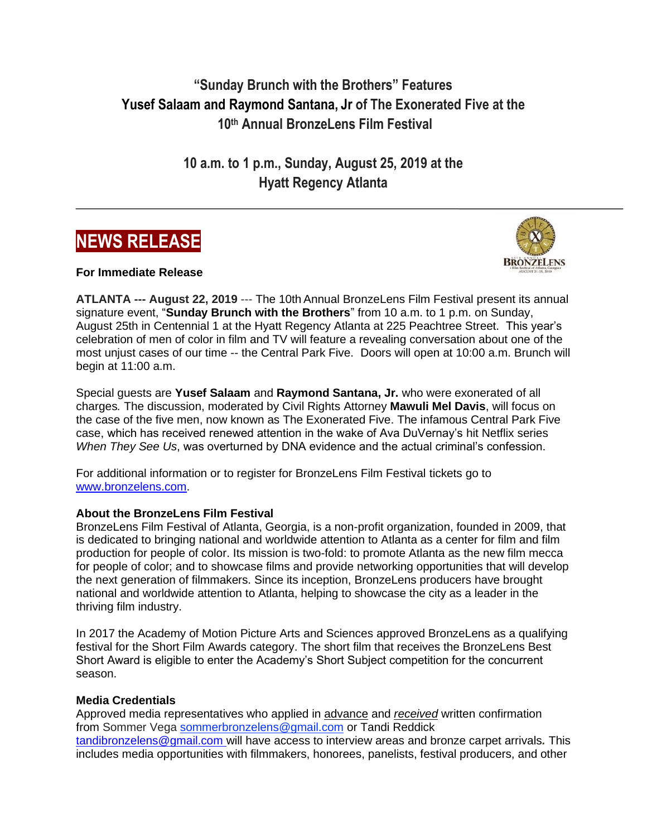**"Sunday Brunch with the Brothers" Features Yusef Salaam and Raymond Santana, Jr of The Exonerated Five at the 10th Annual BronzeLens Film Festival**

> **10 a.m. to 1 p.m., Sunday, August 25, 2019 at the Hyatt Regency Atlanta**





**For Immediate Release**

**ATLANTA --- August 22, 2019** --- The 10th Annual BronzeLens Film Festival present its annual signature event, "**Sunday Brunch with the Brothers**" from 10 a.m. to 1 p.m. on Sunday, August 25th in Centennial 1 at the Hyatt Regency Atlanta at 225 Peachtree Street. This year's celebration of men of color in film and TV will feature a revealing conversation about one of the most unjust cases of our time -- the Central Park Five. Doors will open at 10:00 a.m. Brunch will begin at 11:00 a.m.

Special guests are **Yusef Salaam** and **Raymond Santana, Jr.** who were exonerated of all charges*.* The discussion, moderated by Civil Rights Attorney **Mawuli Mel Davis**, will focus on the case of the five men, now known as The Exonerated Five. The infamous Central Park Five case, which has received renewed attention in the wake of Ava DuVernay's hit Netflix series *When They See Us*, was overturned by DNA evidence and the actual criminal's confession.

For additional information or to register for BronzeLens Film Festival tickets go to [www.bronzelens.com.](http://www.bronzelens.com/)

## **About the BronzeLens Film Festival**

BronzeLens Film Festival of Atlanta, Georgia, is a non-profit organization, founded in 2009, that is dedicated to bringing national and worldwide attention to Atlanta as a center for film and film production for people of color. Its mission is two-fold: to promote Atlanta as the new film mecca for people of color; and to showcase films and provide networking opportunities that will develop the next generation of filmmakers. Since its inception, BronzeLens producers have brought national and worldwide attention to Atlanta, helping to showcase the city as a leader in the thriving film industry.

In 2017 the Academy of Motion Picture Arts and Sciences approved BronzeLens as a qualifying festival for the Short Film Awards category. The short film that receives the BronzeLens Best Short Award is eligible to enter the Academy's Short Subject competition for the concurrent season.

## **Media Credentials**

Approved media representatives who applied in advance and *received* written confirmation from Sommer Vega [sommerbronzelens@gmail.com](mailto:sommerbronzelens@gmail.com) or Tandi Reddick [tandibronzelens@gmail.com](mailto:tandibronzelens@gmail.com) will have access to interview areas and bronze carpet arrivals*.* This includes media opportunities with filmmakers, honorees, panelists, festival producers, and other